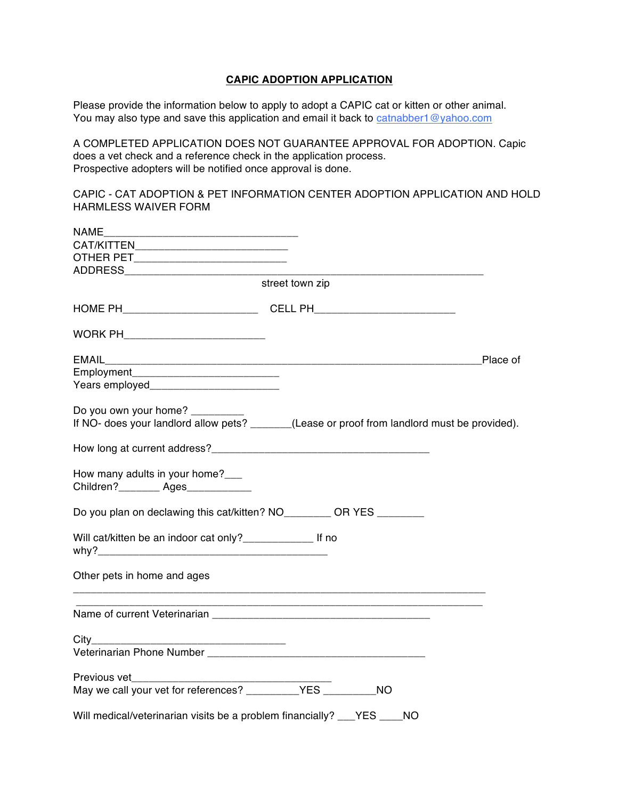## **CAPIC ADOPTION APPLICATION**

Please provide the information below to apply to adopt a CAPIC cat or kitten or other animal. You may also type and save this application and email it back to catnabber1@yahoo.com

A COMPLETED APPLICATION DOES NOT GUARANTEE APPROVAL FOR ADOPTION. Capic does a vet check and a reference check in the application process. Prospective adopters will be notified once approval is done.

CAPIC - CAT ADOPTION & PET INFORMATION CENTER ADOPTION APPLICATION AND HOLD HARMLESS WAIVER FORM

|                                                                          | street town zip                                                                              |
|--------------------------------------------------------------------------|----------------------------------------------------------------------------------------------|
|                                                                          |                                                                                              |
| WORK PH_____________________________                                     |                                                                                              |
|                                                                          | Place of                                                                                     |
|                                                                          |                                                                                              |
| Do you own your home? _________                                          | If NO- does your landlord allow pets? ______(Lease or proof from landlord must be provided). |
|                                                                          |                                                                                              |
| How many adults in your home?<br>Children?_________ Ages____________     |                                                                                              |
| Do you plan on declawing this cat/kitten? NO________ OR YES _______      |                                                                                              |
| Will cat/kitten be an indoor cat only?_____________________ If no        |                                                                                              |
| Other pets in home and ages                                              |                                                                                              |
|                                                                          |                                                                                              |
|                                                                          |                                                                                              |
|                                                                          |                                                                                              |
|                                                                          |                                                                                              |
|                                                                          |                                                                                              |
| Will medical/veterinarian visits be a problem financially? ___YES ____NO |                                                                                              |